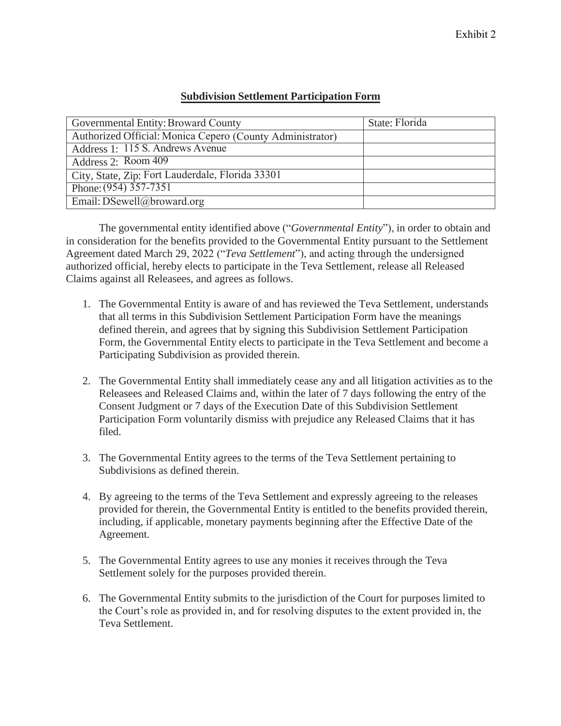## **Subdivision Settlement Participation Form**

| Governmental Entity: Broward County                       | State: Florida |
|-----------------------------------------------------------|----------------|
| Authorized Official: Monica Cepero (County Administrator) |                |
| Address 1: 115 S. Andrews Avenue                          |                |
| Address 2: Room 409                                       |                |
| City, State, Zip: Fort Lauderdale, Florida 33301          |                |
| Phone: $(954)$ 357-7351                                   |                |
| Email: DSewell@broward.org                                |                |

The governmental entity identified above ("*Governmental Entity*"), in order to obtain and in consideration for the benefits provided to the Governmental Entity pursuant to the Settlement Agreement dated March 29, 2022 ("*Teva Settlement*"), and acting through the undersigned authorized official, hereby elects to participate in the Teva Settlement, release all Released Claims against all Releasees, and agrees as follows.

- 1. The Governmental Entity is aware of and has reviewed the Teva Settlement, understands that all terms in this Subdivision Settlement Participation Form have the meanings defined therein, and agrees that by signing this Subdivision Settlement Participation Form, the Governmental Entity elects to participate in the Teva Settlement and become a Participating Subdivision as provided therein.
- 2. The Governmental Entity shall immediately cease any and all litigation activities as to the Releasees and Released Claims and, within the later of 7 days following the entry of the Consent Judgment or 7 days of the Execution Date of this Subdivision Settlement Participation Form voluntarily dismiss with prejudice any Released Claims that it has filed.
- 3. The Governmental Entity agrees to the terms of the Teva Settlement pertaining to Subdivisions as defined therein.
- 4. By agreeing to the terms of the Teva Settlement and expressly agreeing to the releases provided for therein, the Governmental Entity is entitled to the benefits provided therein, including, if applicable, monetary payments beginning after the Effective Date of the Agreement.
- 5. The Governmental Entity agrees to use any monies it receives through the Teva Settlement solely for the purposes provided therein.
- 6. The Governmental Entity submits to the jurisdiction of the Court for purposes limited to the Court's role as provided in, and for resolving disputes to the extent provided in, the Teva Settlement.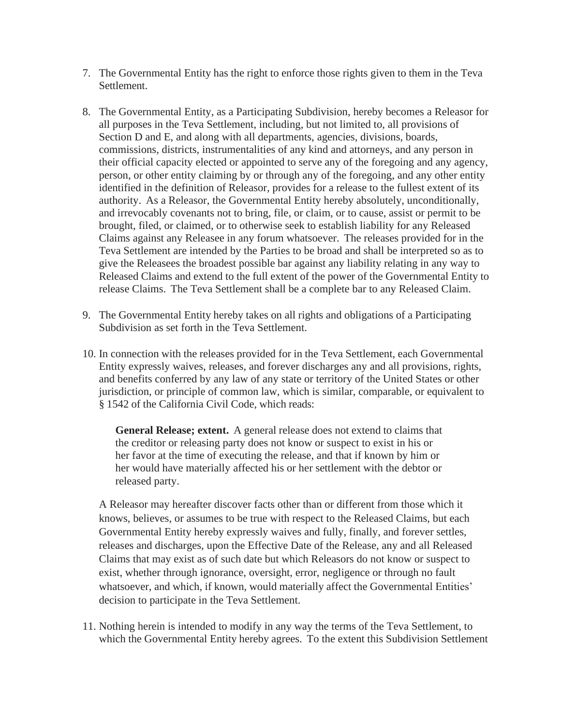- 7. The Governmental Entity has the right to enforce those rights given to them in the Teva Settlement.
- 8. The Governmental Entity, as a Participating Subdivision, hereby becomes a Releasor for all purposes in the Teva Settlement, including, but not limited to, all provisions of Section D and E, and along with all departments, agencies, divisions, boards, commissions, districts, instrumentalities of any kind and attorneys, and any person in their official capacity elected or appointed to serve any of the foregoing and any agency, person, or other entity claiming by or through any of the foregoing, and any other entity identified in the definition of Releasor, provides for a release to the fullest extent of its authority. As a Releasor, the Governmental Entity hereby absolutely, unconditionally, and irrevocably covenants not to bring, file, or claim, or to cause, assist or permit to be brought, filed, or claimed, or to otherwise seek to establish liability for any Released Claims against any Releasee in any forum whatsoever. The releases provided for in the Teva Settlement are intended by the Parties to be broad and shall be interpreted so as to give the Releasees the broadest possible bar against any liability relating in any way to Released Claims and extend to the full extent of the power of the Governmental Entity to release Claims. The Teva Settlement shall be a complete bar to any Released Claim.
- 9. The Governmental Entity hereby takes on all rights and obligations of a Participating Subdivision as set forth in the Teva Settlement.
- 10. In connection with the releases provided for in the Teva Settlement, each Governmental Entity expressly waives, releases, and forever discharges any and all provisions, rights, and benefits conferred by any law of any state or territory of the United States or other jurisdiction, or principle of common law, which is similar, comparable, or equivalent to § 1542 of the California Civil Code, which reads:

**General Release; extent.** A general release does not extend to claims that the creditor or releasing party does not know or suspect to exist in his or her favor at the time of executing the release, and that if known by him or her would have materially affected his or her settlement with the debtor or released party.

A Releasor may hereafter discover facts other than or different from those which it knows, believes, or assumes to be true with respect to the Released Claims, but each Governmental Entity hereby expressly waives and fully, finally, and forever settles, releases and discharges, upon the Effective Date of the Release, any and all Released Claims that may exist as of such date but which Releasors do not know or suspect to exist, whether through ignorance, oversight, error, negligence or through no fault whatsoever, and which, if known, would materially affect the Governmental Entities' decision to participate in the Teva Settlement.

11. Nothing herein is intended to modify in any way the terms of the Teva Settlement, to which the Governmental Entity hereby agrees. To the extent this Subdivision Settlement